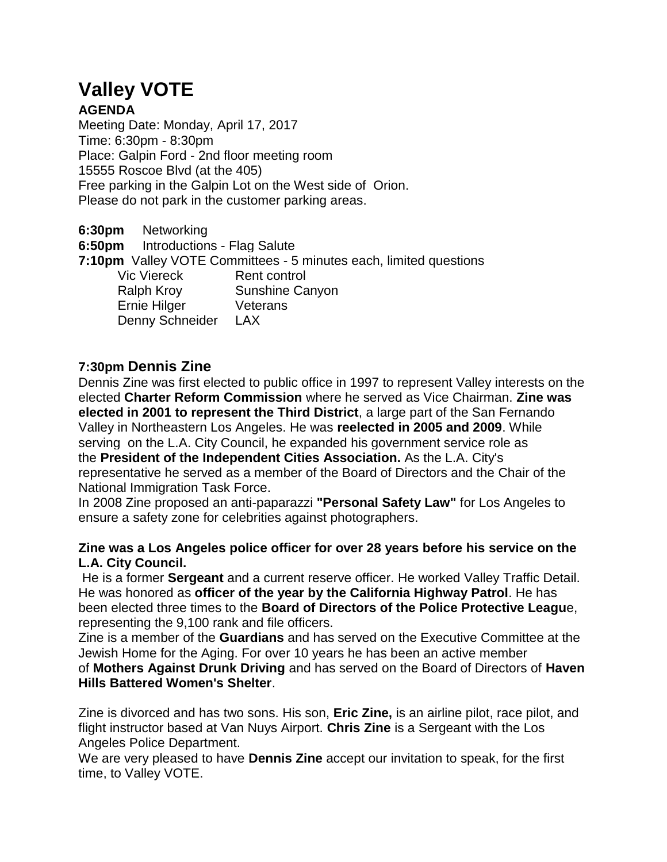# **Valley VOTE**

# **AGENDA**

Meeting Date: Monday, April 17, 2017 Time: 6:30pm - 8:30pm Place: Galpin Ford - 2nd floor meeting room 15555 Roscoe Blvd (at the 405) Free parking in the Galpin Lot on the West side of Orion. Please do not park in the customer parking areas.

**6:30pm** Networking

**6:50pm** Introductions - Flag Salute

**7:10pm** Valley VOTE Committees - 5 minutes each, limited questions Vic Viereck Rent control

Ralph Kroy Sunshine Canyon Ernie Hilger Veterans Denny Schneider LAX

# **7:30pm Dennis Zine**

Dennis Zine was first elected to public office in 1997 to represent Valley interests on the elected **Charter Reform Commission** where he served as Vice Chairman. **Zine was elected in 2001 to represent the Third District**, a large part of the San Fernando Valley in Northeastern Los Angeles. He was **reelected in 2005 and 2009**. While serving on the L.A. City Council, he expanded his government service role as the **President of the Independent Cities Association.** As the L.A. City's representative he served as a member of the Board of Directors and the Chair of the National Immigration Task Force.

In 2008 Zine proposed an anti-paparazzi **"Personal Safety Law"** for Los Angeles to ensure a safety zone for celebrities against photographers.

## **Zine was a Los Angeles police officer for over 28 years before his service on the L.A. City Council.**

He is a former **Sergeant** and a current reserve officer. He worked Valley Traffic Detail. He was honored as **officer of the year by the California Highway Patrol**. He has been elected three times to the **Board of Directors of the Police Protective Leagu**e, representing the 9,100 rank and file officers.

Zine is a member of the **Guardians** and has served on the Executive Committee at the Jewish Home for the Aging. For over 10 years he has been an active member of **Mothers Against Drunk Driving** and has served on the Board of Directors of **Haven Hills Battered Women's Shelter**.

Zine is divorced and has two sons. His son, **Eric Zine,** is an airline pilot, race pilot, and flight instructor based at Van Nuys Airport. **Chris Zine** is a Sergeant with the Los Angeles Police Department.

We are very pleased to have **Dennis Zine** accept our invitation to speak, for the first time, to Valley VOTE.